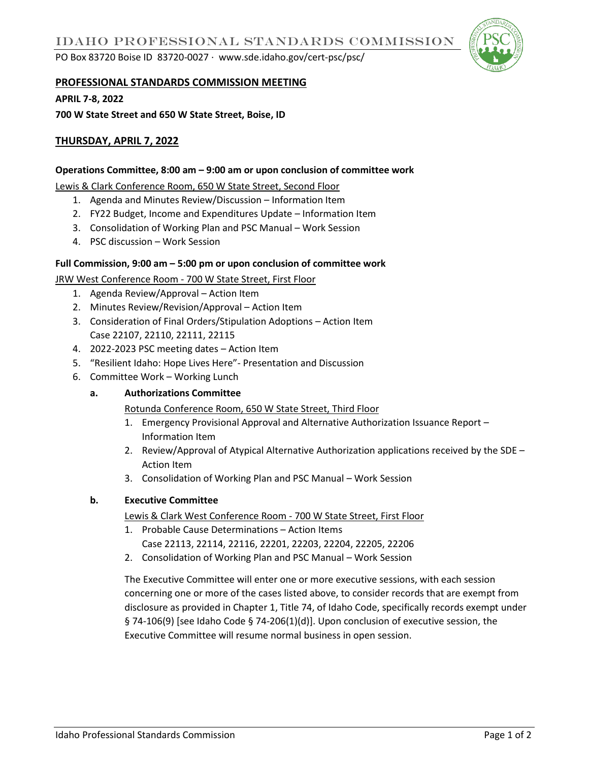PO Box 83720 Boise ID 83720-0027 ∙ www.sde.idaho.gov/cert-psc/psc/



#### **PROFESSIONAL STANDARDS COMMISSION MEETING**

**APRIL 7-8, 2022**

**700 W State Street and 650 W State Street, Boise, ID** 

# **THURSDAY, APRIL 7, 2022**

#### **Operations Committee, 8:00 am – 9:00 am or upon conclusion of committee work**

Lewis & Clark Conference Room, 650 W State Street, Second Floor

- 1. Agenda and Minutes Review/Discussion Information Item
- 2. FY22 Budget, Income and Expenditures Update Information Item
- 3. Consolidation of Working Plan and PSC Manual Work Session
- 4. PSC discussion Work Session

#### **Full Commission, 9:00 am – 5:00 pm or upon conclusion of committee work**

JRW West Conference Room - 700 W State Street, First Floor

- 1. Agenda Review/Approval Action Item
- 2. Minutes Review/Revision/Approval Action Item
- 3. Consideration of Final Orders/Stipulation Adoptions Action Item Case 22107, 22110, 22111, 22115
- 4. 2022-2023 PSC meeting dates Action Item
- 5. "Resilient Idaho: Hope Lives Here"- Presentation and Discussion
- 6. Committee Work Working Lunch

### **a. Authorizations Committee**

Rotunda Conference Room, 650 W State Street, Third Floor

- 1. Emergency Provisional Approval and Alternative Authorization Issuance Report Information Item
- 2. Review/Approval of Atypical Alternative Authorization applications received by the SDE Action Item
- 3. Consolidation of Working Plan and PSC Manual Work Session

### **b. Executive Committee**

Lewis & Clark West Conference Room - 700 W State Street, First Floor

- 1. Probable Cause Determinations Action Items Case 22113, 22114, 22116, 22201, 22203, 22204, 22205, 22206
- 2. Consolidation of Working Plan and PSC Manual Work Session

The Executive Committee will enter one or more executive sessions, with each session concerning one or more of the cases listed above, to consider records that are exempt from disclosure as provided in Chapter 1, Title 74, of Idaho Code, specifically records exempt under § 74-106(9) [see Idaho Code § 74-206(1)(d)]. Upon conclusion of executive session, the Executive Committee will resume normal business in open session.